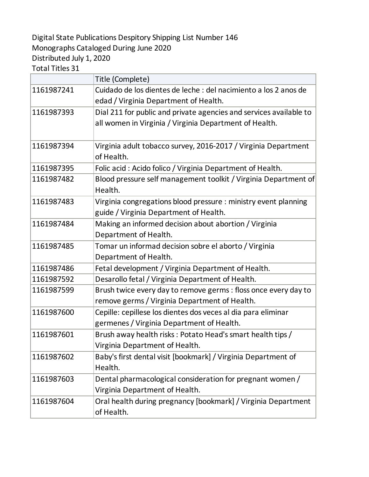Digital State Publications Despitory Shipping List Number 146 Monographs Cataloged During June 2020 Distributed July 1, 2020

Total Titles 31

|            | Title (Complete)                                                   |
|------------|--------------------------------------------------------------------|
| 1161987241 | Cuidado de los dientes de leche : del nacimiento a los 2 anos de   |
|            | edad / Virginia Department of Health.                              |
| 1161987393 | Dial 211 for public and private agencies and services available to |
|            | all women in Virginia / Virginia Department of Health.             |
|            |                                                                    |
| 1161987394 | Virginia adult tobacco survey, 2016-2017 / Virginia Department     |
|            | of Health.                                                         |
| 1161987395 | Folic acid: Acido folico / Virginia Department of Health.          |
| 1161987482 | Blood pressure self management toolkit / Virginia Department of    |
|            | Health.                                                            |
| 1161987483 | Virginia congregations blood pressure : ministry event planning    |
|            | guide / Virginia Department of Health.                             |
| 1161987484 | Making an informed decision about abortion / Virginia              |
|            | Department of Health.                                              |
| 1161987485 | Tomar un informad decision sobre el aborto / Virginia              |
|            | Department of Health.                                              |
| 1161987486 | Fetal development / Virginia Department of Health.                 |
| 1161987592 | Desarollo fetal / Virginia Department of Health.                   |
| 1161987599 | Brush twice every day to remove germs : floss once every day to    |
|            | remove germs / Virginia Department of Health.                      |
| 1161987600 | Cepille: cepillese los dientes dos veces al dia para eliminar      |
|            | germenes / Virginia Department of Health.                          |
| 1161987601 | Brush away health risks: Potato Head's smart health tips /         |
|            | Virginia Department of Health.                                     |
| 1161987602 | Baby's first dental visit [bookmark] / Virginia Department of      |
|            | Health.                                                            |
| 1161987603 | Dental pharmacological consideration for pregnant women /          |
|            | Virginia Department of Health.                                     |
| 1161987604 | Oral health during pregnancy [bookmark] / Virginia Department      |
|            | of Health.                                                         |